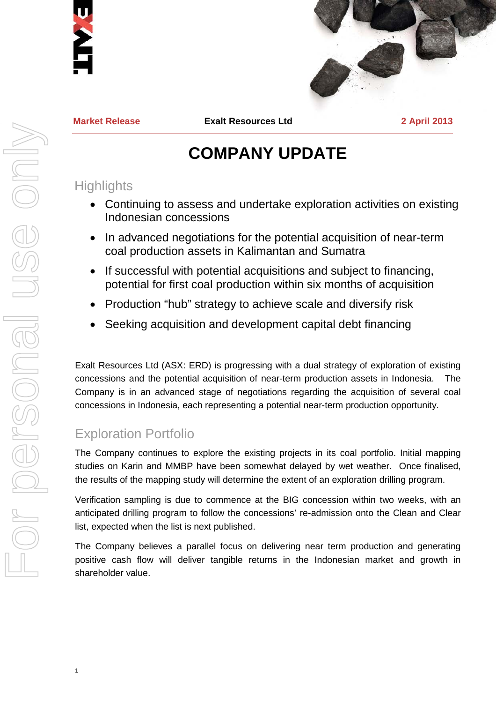



**Market Release Exalt Resources Ltd 2 April 2013**

# **COMPANY UPDATE**

## **Highlights**

- Continuing to assess and undertake exploration activities on existing Indonesian concessions
- In advanced negotiations for the potential acquisition of near-term coal production assets in Kalimantan and Sumatra
- If successful with potential acquisitions and subject to financing, potential for first coal production within six months of acquisition
- Production "hub" strategy to achieve scale and diversify risk
- Seeking acquisition and development capital debt financing

Exalt Resources Ltd (ASX: ERD) is progressing with a dual strategy of exploration of existing concessions and the potential acquisition of near-term production assets in Indonesia. The Company is in an advanced stage of negotiations regarding the acquisition of several coal concessions in Indonesia, each representing a potential near-term production opportunity.

# Exploration Portfolio

1

The Company continues to explore the existing projects in its coal portfolio. Initial mapping studies on Karin and MMBP have been somewhat delayed by wet weather. Once finalised, the results of the mapping study will determine the extent of an exploration drilling program.

Verification sampling is due to commence at the BIG concession within two weeks, with an anticipated drilling program to follow the concessions' re-admission onto the Clean and Clear list, expected when the list is next published.

The Company believes a parallel focus on delivering near term production and generating positive cash flow will deliver tangible returns in the Indonesian market and growth in shareholder value.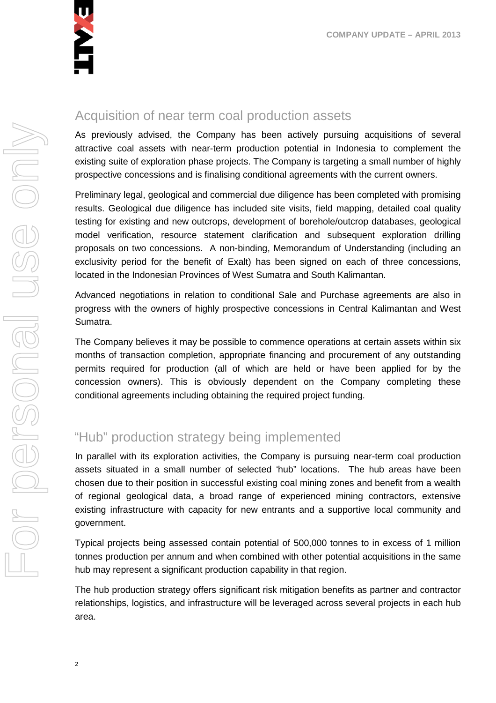

# For personal use only VILOT PETSONGI USE ON

## Acquisition of near term coal production assets

As previously advised, the Company has been actively pursuing acquisitions of several attractive coal assets with near-term production potential in Indonesia to complement the existing suite of exploration phase projects. The Company is targeting a small number of highly prospective concessions and is finalising conditional agreements with the current owners.

Preliminary legal, geological and commercial due diligence has been completed with promising results. Geological due diligence has included site visits, field mapping, detailed coal quality testing for existing and new outcrops, development of borehole/outcrop databases, geological model verification, resource statement clarification and subsequent exploration drilling proposals on two concessions. A non-binding, Memorandum of Understanding (including an exclusivity period for the benefit of Exalt) has been signed on each of three concessions, located in the Indonesian Provinces of West Sumatra and South Kalimantan.

Advanced negotiations in relation to conditional Sale and Purchase agreements are also in progress with the owners of highly prospective concessions in Central Kalimantan and West Sumatra.

The Company believes it may be possible to commence operations at certain assets within six months of transaction completion, appropriate financing and procurement of any outstanding permits required for production (all of which are held or have been applied for by the concession owners). This is obviously dependent on the Company completing these conditional agreements including obtaining the required project funding.

# "Hub" production strategy being implemented

In parallel with its exploration activities, the Company is pursuing near-term coal production assets situated in a small number of selected 'hub" locations. The hub areas have been chosen due to their position in successful existing coal mining zones and benefit from a wealth of regional geological data, a broad range of experienced mining contractors, extensive existing infrastructure with capacity for new entrants and a supportive local community and government.

Typical projects being assessed contain potential of 500,000 tonnes to in excess of 1 million tonnes production per annum and when combined with other potential acquisitions in the same hub may represent a significant production capability in that region.

The hub production strategy offers significant risk mitigation benefits as partner and contractor relationships, logistics, and infrastructure will be leveraged across several projects in each hub area.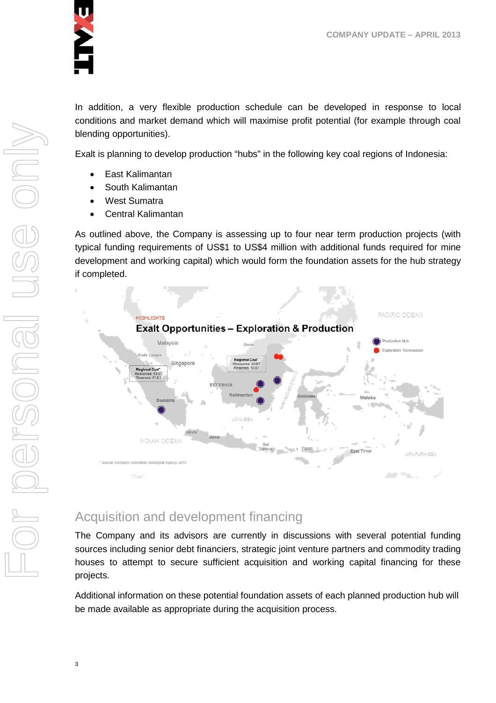

In addition, a very flexible production schedule can be developed in response to local conditions and market demand which will maximise profit potential (for example through coal blending opportunities).

Exalt is planning to develop production "hubs" in the following key coal regions of Indonesia:

- East Kalimantan
- South Kalimantan
- West Sumatra
- Central Kalimantan

As outlined above, the Company is assessing up to four near term production projects (with typical funding requirements of US\$1 to US\$4 million with additional funds required for mine development and working capital) which would form the foundation assets for the hub strategy if completed.



# Acquisition and development financing

The Company and its advisors are currently in discussions with several potential funding sources including senior debt financiers, strategic joint venture partners and commodity trading houses to attempt to secure sufficient acquisition and working capital financing for these projects.

Additional information on these potential foundation assets of each planned production hub will be made available as appropriate during the acquisition process.